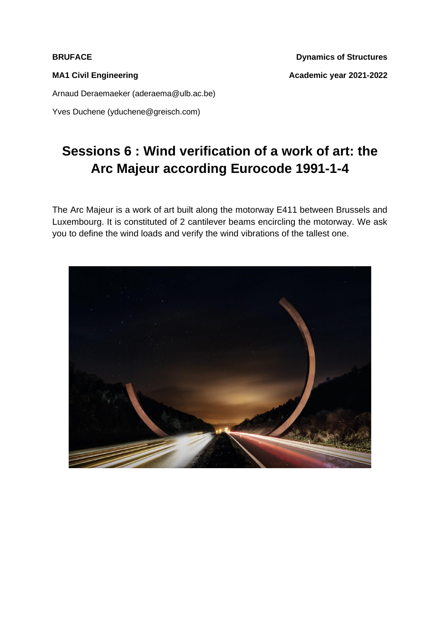**BRUFACE** Dynamics of Structures MA1 Civil Engineering **MA1 Civil Engineering** and Academic year 2021-2022

Arnaud Deraemaeker (aderaema@ulb.ac.be)

Yves Duchene (yduchene@greisch.com)

## **Sessions 6 : Wind verification of a work of art: the Arc Majeur according Eurocode 1991-1-4**

The Arc Majeur is a work of art built along the motorway E411 between Brussels and Luxembourg. It is constituted of 2 cantilever beams encircling the motorway. We ask you to define the wind loads and verify the wind vibrations of the tallest one.

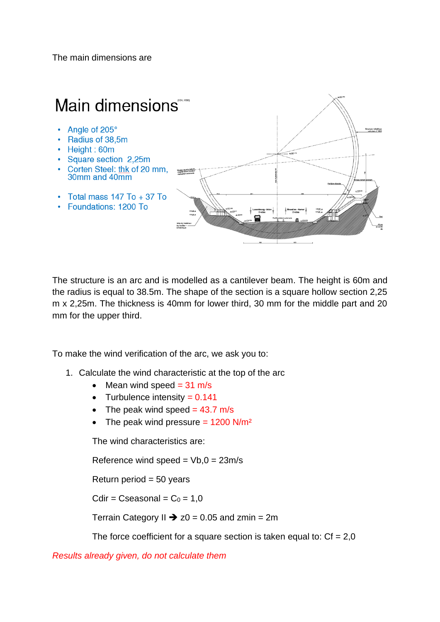The main dimensions are



The structure is an arc and is modelled as a cantilever beam. The height is 60m and the radius is equal to 38.5m. The shape of the section is a square hollow section 2,25 m x 2,25m. The thickness is 40mm for lower third, 30 mm for the middle part and 20 mm for the upper third.

To make the wind verification of the arc, we ask you to:

- 1. Calculate the wind characteristic at the top of the arc
	- Mean wind speed  $= 31$  m/s
	- Turbulence intensity  $= 0.141$
	- The peak wind speed  $= 43.7$  m/s
	- The peak wind pressure  $= 1200$  N/m<sup>2</sup>

The wind characteristics are:

Reference wind speed =  $Vb$ ,  $0 = 23m/s$ 

Return period  $= 50$  years

 $C$ dir = Cseasonal =  $C_0$  = 1,0

Terrain Category II  $\rightarrow$  z0 = 0.05 and zmin = 2m

The force coefficient for a square section is taken equal to:  $Cf = 2.0$ 

*Results already given, do not calculate them*